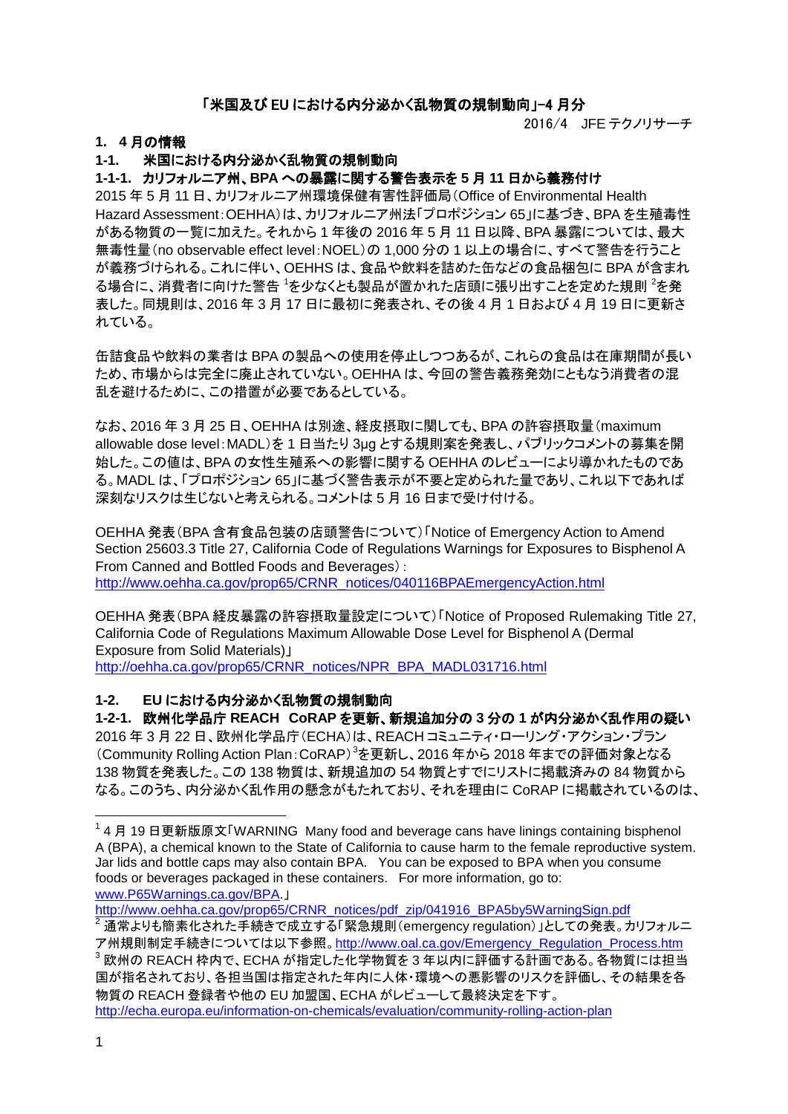## 「米国及び EU における内分泌かく乱物質の規制動向」-4 月分

2016/4 JFE テクノリサーチ

### **1. 4** 月の情報

## **1-1.** 米国における内分泌かく乱物質の規制動向

#### **1-1-1.** カリフォルニア州、**BPA** への暴露に関する警告表示を **5** 月 **11** 日から義務付け

2015 年 5 月 11 日、カリフォルニア州環境保健有害性評価局(Office of Environmental Health Hazard Assessment:OEHHA)は、カリフォルニア州法「プロポジション 65」に基づき、BPA を生殖毒性 がある物質の一覧に加えた。それから 1 年後の 2016 年 5 月 11 日以降、BPA 暴露については、最大 無毒性量(no observable effect level:NOEL)の 1,000 分の 1 以上の場合に、すべて警告を行うこと が義務づけられる。これに伴い、OEHHS は、食品や飲料を詰めた缶などの食品梱包に BPA が含まれ る場合に、消費者に向けた警告 <sup>[1](#page-0-0)</sup>を少なくとも製品が置かれた店頭に張り出すことを定めた規則 <sup>[2](#page-0-1)</sup>を発 表した。同規則は、2016 年 3 月 17 日に最初に発表され、その後 4 月 1 日および 4 月 19 日に更新さ れている。

缶詰食品や飲料の業者は BPA の製品への使用を停止しつつあるが、これらの食品は在庫期間が長い ため、市場からは完全に廃止されていない。OEHHA は、今回の警告義務発効にともなう消費者の混 乱を避けるために、この措置が必要であるとしている。

なお、2016 年 3 月 25 日、OEHHA は別途、経皮摂取に関しても、BPA の許容摂取量(maximum allowable dose level:MADL)を 1 日当たり 3μg とする規則案を発表し、パブリックコメントの募集を開 始した。この値は、BPA の女性生殖系への影響に関する OEHHA のレビューにより導かれたものであ る。MADL は、「プロポジション 65」に基づく警告表示が不要と定められた量であり、これ以下であれば 深刻なリスクは生じないと考えられる。コメントは 5 月 16 日まで受け付ける。

OEHHA 発表(BPA 含有食品包装の店頭警告について)「Notice of Emergency Action to Amend Section 25603.3 Title 27, California Code of Regulations Warnings for Exposures to Bisphenol A From Canned and Bottled Foods and Beverages):

[http://www.oehha.ca.gov/prop65/CRNR\\_notices/040116BPAEmergencyAction.html](http://www.oehha.ca.gov/prop65/CRNR_notices/040116BPAEmergencyAction.html)

OEHHA 発表(BPA 経皮暴露の許容摂取量設定について)「Notice of Proposed Rulemaking Title 27, California Code of Regulations Maximum Allowable Dose Level for Bisphenol A (Dermal Exposure from Solid Materials)」

[http://oehha.ca.gov/prop65/CRNR\\_notices/NPR\\_BPA\\_MADL031716.html](http://oehha.ca.gov/prop65/CRNR_notices/NPR_BPA_MADL031716.html)

#### **1-2. EU** における内分泌かく乱物質の規制動向

**1-2-1.** 欧州化学品庁 **REACH CoRAP** を更新、新規追加分の **3** 分の **1** が内分泌かく乱作用の疑い 2016 年 3 月 22 日、欧州化学品庁(ECHA)は、REACH コミュニティ・ローリング・アクション・プラン (Community Rolling Action Plan:CoRAP)[3](#page-0-2) を更新し、2016 年から 2018 年までの評価対象となる 138 物質を発表した。この 138 物質は、新規追加の 54 物質とすでにリストに掲載済みの 84 物質から なる。このうち、内分泌かく乱作用の懸念がもたれており、それを理由に CoRAP に掲載されているのは、

[http://www.oehha.ca.gov/prop65/CRNR\\_notices/pdf\\_zip/041916\\_BPA5by5WarningSign.pdf](http://www.oehha.ca.gov/prop65/CRNR_notices/pdf_zip/041916_BPA5by5WarningSign.pdf)

<span id="page-0-0"></span><sup>&</sup>lt;sup>1</sup> 4 月 19 日更新版原文「WARNING Many food and beverage cans have linings containing bisphenol A (BPA), a chemical known to the State of California to cause harm to the female reproductive system. Jar lids and bottle caps may also contain BPA. You can be exposed to BPA when you consume foods or beverages packaged in these containers. For more information, go to: [www.P65Warnings.ca.gov/BPA.](http://www.p65warnings.ca.gov/BPA)」

<span id="page-0-2"></span><span id="page-0-1"></span><sup>2</sup> 通常よりも簡素化された手続きで成立する「緊急規則(emergency regulation)」としての発表。カリフォルニ ア州規則制定手続きについては以下参照。[http://www.oal.ca.gov/Emergency\\_Regulation\\_Process.htm](http://www.oal.ca.gov/Emergency_Regulation_Process.htm)  $^3$  欧州の REACH 枠内で、ECHA が指定した化学物質を 3 年以内に評価する計画である。各物質には担当 国が指名されており、各担当国は指定された年内に人体・環境への悪影響のリスクを評価し、その結果を各 物質の REACH 登録者や他の EU 加盟国、ECHA がレビューして最終決定を下す。 <http://echa.europa.eu/information-on-chemicals/evaluation/community-rolling-action-plan>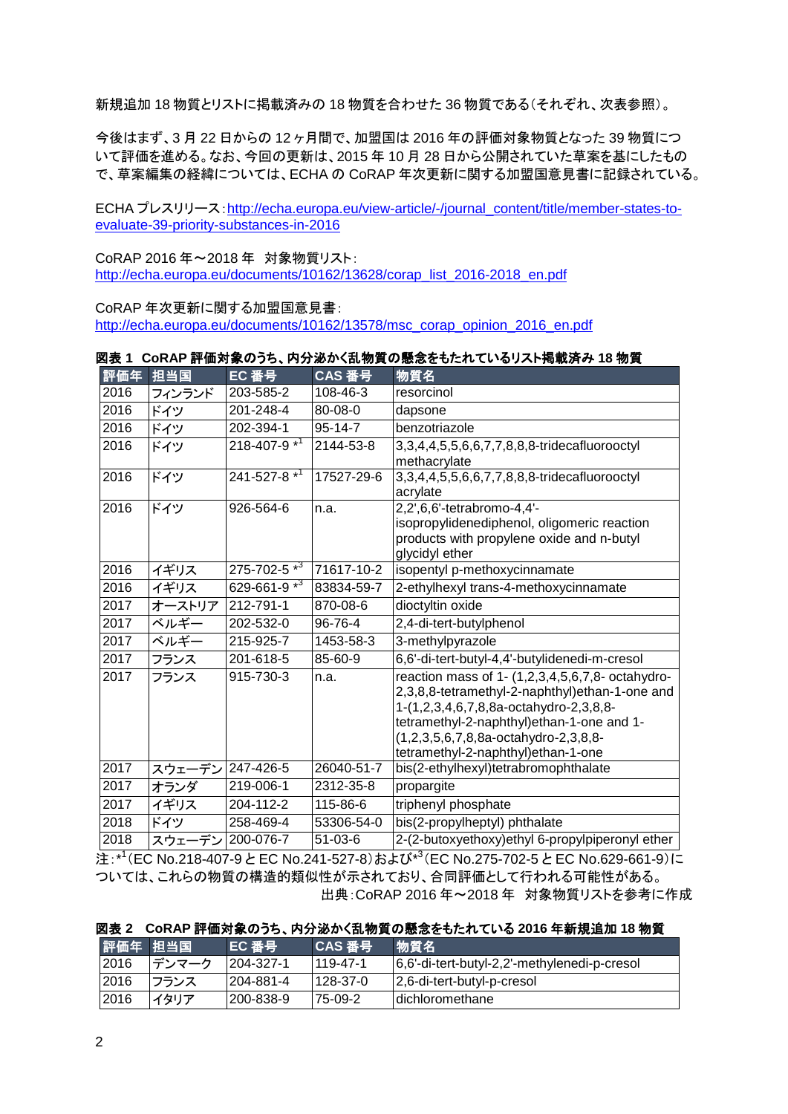新規追加 18 物質とリストに掲載済みの 18 物質を合わせた 36 物質である(それぞれ、次表参照)。

今後はまず、3 月 22 日からの 12 ヶ月間で、加盟国は 2016 年の評価対象物質となった 39 物質につ いて評価を進める。なお、今回の更新は、2015 年 10 月 28 日から公開されていた草案を基にしたもの で、草案編集の経緯については、ECHA の CoRAP 年次更新に関する加盟国意見書に記録されている。

ECHA プレスリリース:[http://echa.europa.eu/view-article/-/journal\\_content/title/member-states-to](http://echa.europa.eu/view-article/-/journal_content/title/member-states-to-evaluate-39-priority-substances-in-2016)[evaluate-39-priority-substances-in-2016](http://echa.europa.eu/view-article/-/journal_content/title/member-states-to-evaluate-39-priority-substances-in-2016)

CoRAP 2016 年~2018 年 対象物質リスト: [http://echa.europa.eu/documents/10162/13628/corap\\_list\\_2016-2018\\_en.pdf](http://echa.europa.eu/documents/10162/13628/corap_list_2016-2018_en.pdf)

CoRAP 年次更新に関する加盟国意見書: [http://echa.europa.eu/documents/10162/13578/msc\\_corap\\_opinion\\_2016\\_en.pdf](http://echa.europa.eu/documents/10162/13578/msc_corap_opinion_2016_en.pdf)

| 図表 1 CoRAP 評価対象のうち、内分泌かく乱物質の懸念をもたれているリスト掲載済み 18 物質 |  |
|----------------------------------------------------|--|
|----------------------------------------------------|--|

| 評価年  | 担当国    | EC 番号                         | CAS 番号        | 物質名                                              |
|------|--------|-------------------------------|---------------|--------------------------------------------------|
| 2016 | フィンランド | 203-585-2                     | 108-46-3      | resorcinol                                       |
| 2016 | ドイツ    | 201-248-4                     | 80-08-0       | dapsone                                          |
| 2016 | ドイツ    | 202-394-1                     | $95 - 14 - 7$ | benzotriazole                                    |
| 2016 | ドイツ    | $218 - 407 - 9$ <sup>*1</sup> | 2144-53-8     | 3,3,4,4,5,5,6,6,7,7,8,8,8-tridecafluorooctyl     |
|      |        |                               |               | methacrylate                                     |
| 2016 | ドイツ    | 241-527-8 <sup>*1</sup>       | 17527-29-6    | 3,3,4,4,5,5,6,6,7,7,8,8,8-tridecafluorooctyl     |
| 2016 |        |                               |               | acrylate                                         |
|      | ドイツ    | 926-564-6                     | n.a.          | 2,2',6,6'-tetrabromo-4,4'-                       |
|      |        |                               |               | isopropylidenediphenol, oligomeric reaction      |
|      |        |                               |               | products with propylene oxide and n-butyl        |
| 2016 |        | $275 - 702 - 5*^{3}$          | 71617-10-2    | glycidyl ether                                   |
|      | イギリス   |                               |               | isopentyl p-methoxycinnamate                     |
| 2016 | イギリス   | 629-661-9 $\overline{^{*3}}$  | 83834-59-7    | 2-ethylhexyl trans-4-methoxycinnamate            |
| 2017 | オーストリア | 212-791-1                     | 870-08-6      | dioctyltin oxide                                 |
| 2017 | ベルギー   | 202-532-0                     | 96-76-4       | 2,4-di-tert-butylphenol                          |
| 2017 | ベルギー   | 215-925-7                     | 1453-58-3     | 3-methylpyrazole                                 |
| 2017 | フランス   | 201-618-5                     | 85-60-9       | 6,6'-di-tert-butyl-4,4'-butylidenedi-m-cresol    |
| 2017 | フランス   | 915-730-3                     | n.a.          | reaction mass of 1- (1,2,3,4,5,6,7,8- octahydro- |
|      |        |                               |               | 2,3,8,8-tetramethyl-2-naphthyl)ethan-1-one and   |
|      |        |                               |               | 1-(1,2,3,4,6,7,8,8a-octahydro-2,3,8,8-           |
|      |        |                               |               | tetramethyl-2-naphthyl) ethan-1-one and 1-       |
|      |        |                               |               | (1,2,3,5,6,7,8,8a-octahydro-2,3,8,8-             |
|      |        |                               |               | tetramethyl-2-naphthyl)ethan-1-one               |
| 2017 | スウェーデン | 247-426-5                     | 26040-51-7    | bis(2-ethylhexyl)tetrabromophthalate             |
| 2017 | オランダ   | 219-006-1                     | 2312-35-8     | propargite                                       |
| 2017 | イギリス   | 204-112-2                     | 115-86-6      | triphenyl phosphate                              |
| 2018 | ドイツ    | 258-469-4                     | 53306-54-0    | bis(2-propylheptyl) phthalate                    |
| 2018 | スウェーデン | 200-076-7                     | $51 - 03 - 6$ | 2-(2-butoxyethoxy)ethyl 6-propylpiperonyl ether  |

注:\*<sup>1</sup>(EC No.218-407-9とEC No.241-527-8)および\*<sup>3</sup>(EC No.275-702-5とEC No.629-661-9)に ついては、これらの物質の構造的類似性が示されており、合同評価として行われる可能性がある。 出典:CoRAP 2016 年~2018 年 対象物質リストを参考に作成

|  |  |  | 図表 2 CoRAP 評価対象のうち、内分泌かく乱物質の懸念をもたれている 2016 年新規追加 18 物質 |  |
|--|--|--|--------------------------------------------------------|--|
|  |  |  |                                                        |  |

| ▌評価年 担当国 |       | EC 番号      | CAS 番号     | 物質名                                          |
|----------|-------|------------|------------|----------------------------------------------|
| 2016     | デンマーク | 1204-327-1 | ' 119-47-1 | 6,6'-di-tert-butyl-2,2'-methylenedi-p-cresol |
| 2016     | フランス  | 204-881-4  | 128-37-0   | 2,6-di-tert-butyl-p-cresol                   |
| 2016     | イタリア  | 1200-838-9 | 75-09-2    | Idichloromethane                             |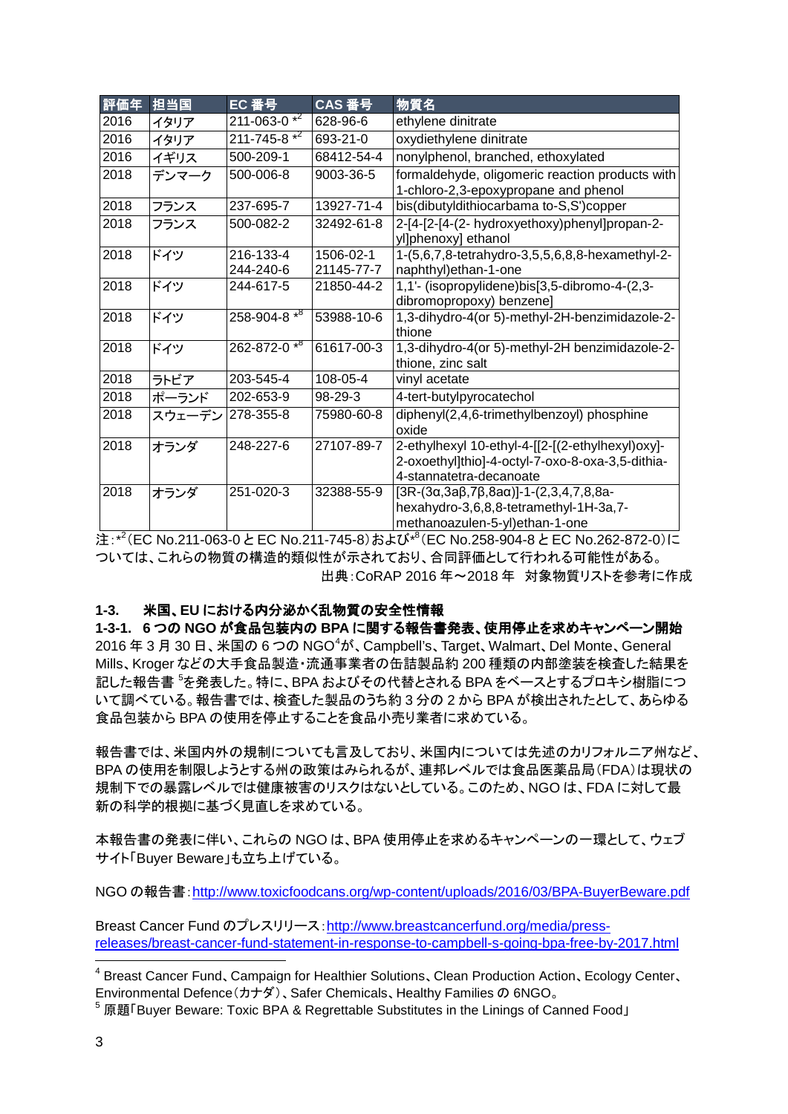| 評価年  | 担当国    | EC 番号                    | CAS 番号                  | 物質名                                                                                                                                   |
|------|--------|--------------------------|-------------------------|---------------------------------------------------------------------------------------------------------------------------------------|
| 2016 | イタリア   | $211 - 063 - 0*^{2}$     | 628-96-6                | ethylene dinitrate                                                                                                                    |
| 2016 | イタリア   | $211 - 745 - 8$ $*^2$    | 693-21-0                | oxydiethylene dinitrate                                                                                                               |
| 2016 | イギリス   | 500-209-1                | 68412-54-4              | nonylphenol, branched, ethoxylated                                                                                                    |
| 2018 | デンマーク  | 500-006-8                | 9003-36-5               | formaldehyde, oligomeric reaction products with<br>1-chloro-2,3-epoxypropane and phenol                                               |
| 2018 | フランス   | 237-695-7                | 13927-71-4              | bis(dibutyldithiocarbama to-S,S')copper                                                                                               |
| 2018 | フランス   | 500-082-2                | 32492-61-8              | 2-[4-[2-[4-(2- hydroxyethoxy)phenyl]propan-2-<br>yl]phenoxy] ethanol                                                                  |
| 2018 | ドイツ    | 216-133-4<br>244-240-6   | 1506-02-1<br>21145-77-7 | 1-(5,6,7,8-tetrahydro-3,5,5,6,8,8-hexamethyl-2-<br>naphthyl)ethan-1-one                                                               |
| 2018 | ドイツ    | 244-617-5                | 21850-44-2              | 1,1'- (isopropylidene)bis[3,5-dibromo-4-(2,3-<br>dibromopropoxy) benzene]                                                             |
| 2018 | ドイツ    | $258 - 904 - 8 \times 8$ | 53988-10-6              | 1,3-dihydro-4(or 5)-methyl-2H-benzimidazole-2-<br>thione                                                                              |
| 2018 | ドイツ    | $262 - 872 - 0$ *8       | 61617-00-3              | 1,3-dihydro-4(or 5)-methyl-2H benzimidazole-2-<br>thione, zinc salt                                                                   |
| 2018 | ラトビア   | 203-545-4                | 108-05-4                | vinyl acetate                                                                                                                         |
| 2018 | ポーランド  | 202-653-9                | $98-29-3$               | 4-tert-butylpyrocatechol                                                                                                              |
| 2018 | スウェーデン | 278-355-8                | 75980-60-8              | diphenyl(2,4,6-trimethylbenzoyl) phosphine<br>oxide                                                                                   |
| 2018 | オランダ   | 248-227-6                | 27107-89-7              | 2-ethylhexyl 10-ethyl-4-[[2-[(2-ethylhexyl)oxy]-<br>2-oxoethyl]thio]-4-octyl-7-oxo-8-oxa-3,5-dithia-<br>4-stannatetra-decanoate       |
| 2018 | オランダ   | 251-020-3                | 32388-55-9              | $[3R-(3\alpha,3a\beta,7\beta,8a\alpha)]-1-(2,3,4,7,8,8a-$<br>hexahydro-3,6,8,8-tetramethyl-1H-3a,7-<br>methanoazulen-5-yl)ethan-1-one |

注:\*<sup>2</sup>(EC No.211-063-0とEC No.211-745-8)および\*<sup>8</sup>(EC No.258-904-8とEC No.262-872-0)に ついては、これらの物質の構造的類似性が示されており、合同評価として行われる可能性がある。 出典:CoRAP 2016 年~2018 年 対象物質リストを参考に作成

#### **1-3.** 米国、**EU** における内分泌かく乱物質の安全性情報

**1-3-1. 6** つの **NGO** が食品包装内の **BPA** に関する報告書発表、使用停止を求めキャンペーン開始 2016 年 3 月 30 日、米国の 6 つの NGO $^4$  $^4$ が、Campbell's、Target、Walmart、Del Monte、General Mills、Kroger などの大手食品製造・流通事業者の缶詰製品約 200 種類の内部塗装を検査した結果を 記した報告書 <sup>[5](#page-2-1)</sup>を発表した。特に、BPA およびその代替とされる BPA をベースとするプロキシ樹脂につ いて調べている。報告書では、検査した製品のうち約 3 分の 2 から BPA が検出されたとして、あらゆる 食品包装から BPA の使用を停止することを食品小売り業者に求めている。

報告書では、米国内外の規制についても言及しており、米国内については先述のカリフォルニア州など、 BPA の使用を制限しようとする州の政策はみられるが、連邦レベルでは食品医薬品局(FDA)は現状の 規制下での暴露レベルでは健康被害のリスクはないとしている。このため、NGO は、FDA に対して最 新の科学的根拠に基づく見直しを求めている。

本報告書の発表に伴い、これらの NGO は、BPA 使用停止を求めるキャンペーンの一環として、ウェブ サイト「Buyer Beware」も立ち上げている。

NGO の報告書:<http://www.toxicfoodcans.org/wp-content/uploads/2016/03/BPA-BuyerBeware.pdf>

Breast Cancer Fund のプレスリリース:[http://www.breastcancerfund.org/media/press](http://www.breastcancerfund.org/media/press-releases/breast-cancer-fund-statement-in-response-to-campbell-s-going-bpa-free-by-2017.html)[releases/breast-cancer-fund-statement-in-response-to-campbell-s-going-bpa-free-by-2017.html](http://www.breastcancerfund.org/media/press-releases/breast-cancer-fund-statement-in-response-to-campbell-s-going-bpa-free-by-2017.html)

<span id="page-2-0"></span> <sup>4</sup> Breast Cancer Fund、Campaign for Healthier Solutions、Clean Production Action、Ecology Center、 Environmental Defence(カナダ)、Safer Chemicals、Healthy Families の 6NGO。

<span id="page-2-1"></span><sup>5</sup> 原題「Buyer Beware: Toxic BPA & Regrettable Substitutes in the Linings of Canned Food」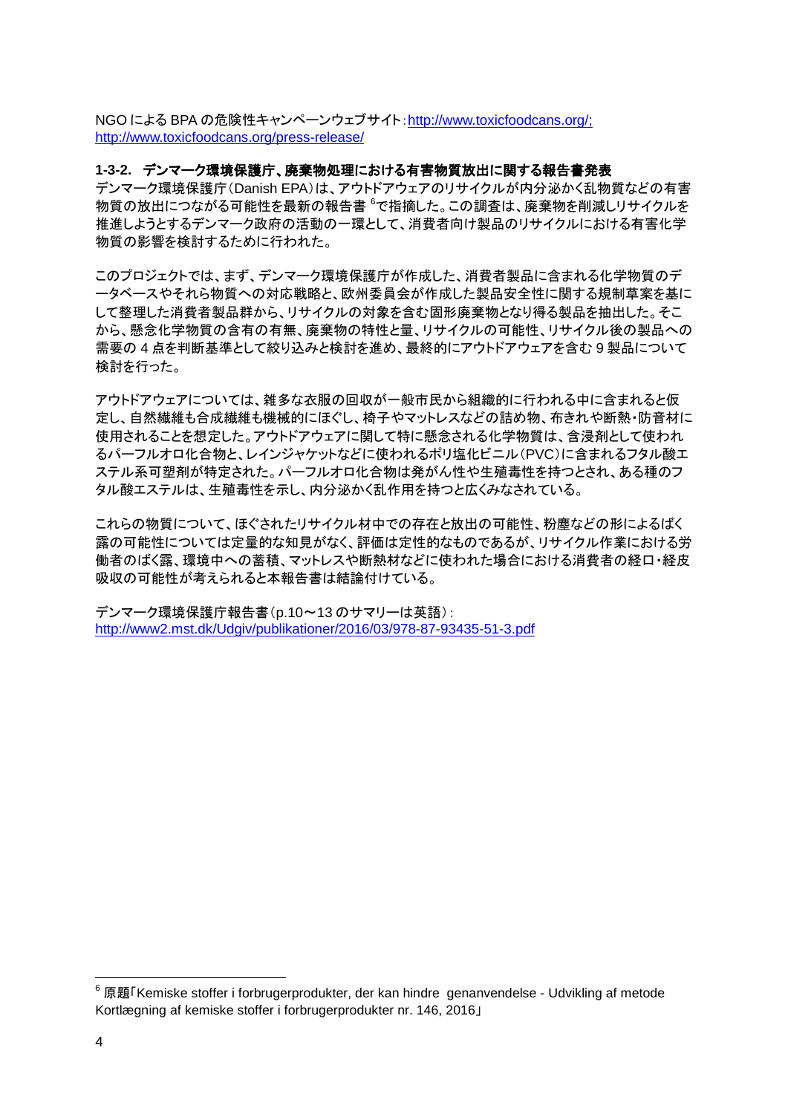NGO による BPA の危険性キャンペーンウェブサイト:[http://www.toxicfoodcans.org/;](http://www.toxicfoodcans.org/) http://www.toxicfoodcans.org/press-release/

#### **1-3-2.** デンマーク環境保護庁、廃棄物処理における有害物質放出に関する報告書発表

デンマーク環境保護庁(Danish EPA)は、アウトドアウェアのリサイクルが内分泌かく乱物質などの有害 物質の放出につながる可能性を最新の報告書 『で指摘した。この調査は、廃棄物を削減しリサイクルを 推進しようとするデンマーク政府の活動の一環として、消費者向け製品のリサイクルにおける有害化学 物質の影響を検討するために行われた。

このプロジェクトでは、まず、デンマーク環境保護庁が作成した、消費者製品に含まれる化学物質のデ ータベースやそれら物質への対応戦略と、欧州委員会が作成した製品安全性に関する規制草案を基に して整理した消費者製品群から、リサイクルの対象を含む固形廃棄物となり得る製品を抽出した。そこ から、懸念化学物質の含有の有無、廃棄物の特性と量、リサイクルの可能性、リサイクル後の製品への 需要の 4 点を判断基準として絞り込みと検討を進め、最終的にアウトドアウェアを含む 9 製品について 検討を行った。

アウトドアウェアについては、雑多な衣服の回収が一般市民から組織的に行われる中に含まれると仮 定し、自然繊維も合成繊維も機械的にほぐし、椅子やマットレスなどの詰め物、布きれや断熱・防音材に 使用されることを想定した。アウトドアウェアに関して特に懸念される化学物質は、含浸剤として使われ るパーフルオロ化合物と、レインジャケットなどに使われるポリ塩化ビニル(PVC)に含まれるフタル酸エ ステル系可塑剤が特定された。パーフルオロ化合物は発がん性や生殖毒性を持つとされ、ある種のフ タル酸エステルは、生殖毒性を示し、内分泌かく乱作用を持つと広くみなされている。

これらの物質について、ほぐされたリサイクル材中での存在と放出の可能性、粉塵などの形によるばく 露の可能性については定量的な知見がなく、評価は定性的なものであるが、リサイクル作業における労 働者のばく露、環境中への蓄積、マットレスや断熱材などに使われた場合における消費者の経口・経皮 吸収の可能性が考えられると本報告書は結論付けている。

デンマーク環境保護庁報告書(p.10~13 のサマリーは英語): <http://www2.mst.dk/Udgiv/publikationer/2016/03/978-87-93435-51-3.pdf>

<span id="page-3-0"></span> $6$  原題「Kemiske stoffer i forbrugerprodukter, der kan hindre genanvendelse - Udvikling af metode Kortlægning af kemiske stoffer i forbrugerprodukter nr. 146, 2016」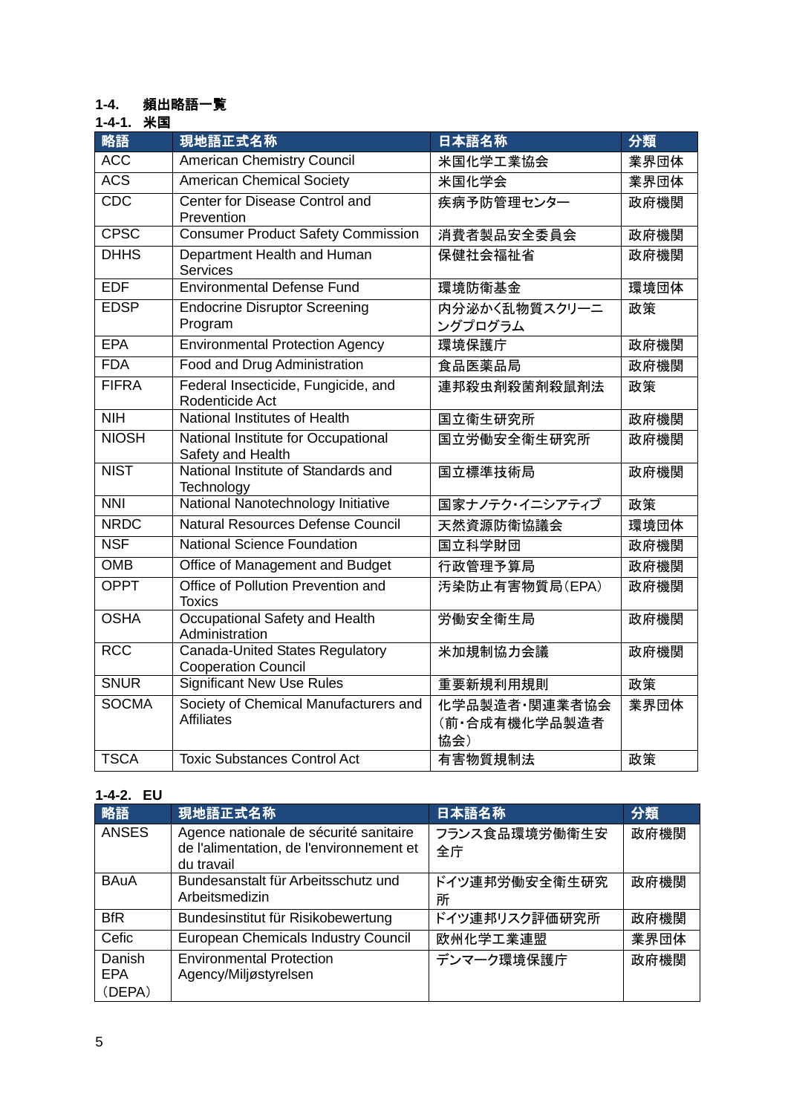## **1-4.** 頻出略語一覧

## **1-4-1.** 米国

| 略語              | 現地語正式名称                                                       | 日本語名称                                 | 分類   |
|-----------------|---------------------------------------------------------------|---------------------------------------|------|
| <b>ACC</b>      | <b>American Chemistry Council</b>                             | 米国化学工業協会                              | 業界団体 |
| <b>ACS</b>      | <b>American Chemical Society</b>                              | 米国化学会                                 | 業界団体 |
| <b>CDC</b>      | Center for Disease Control and<br>Prevention                  | 疾病予防管理センター                            | 政府機関 |
| <b>CPSC</b>     | <b>Consumer Product Safety Commission</b>                     | 消費者製品安全委員会                            | 政府機関 |
| <b>DHHS</b>     | Department Health and Human<br>Services                       | 保健社会福祉省                               | 政府機関 |
| <b>EDF</b>      | <b>Environmental Defense Fund</b>                             | 環境防衛基金                                | 環境団体 |
| <b>EDSP</b>     | <b>Endocrine Disruptor Screening</b><br>Program               | 内分泌かく乱物質スクリーニ<br>ングプログラム              | 政策   |
| <b>EPA</b>      | <b>Environmental Protection Agency</b>                        | 環境保護庁                                 | 政府機関 |
| <b>FDA</b>      | Food and Drug Administration                                  | 食品医薬品局                                | 政府機関 |
| <b>FIFRA</b>    | Federal Insecticide, Fungicide, and<br>Rodenticide Act        | 連邦殺虫剤殺菌剤殺鼠剤法                          | 政策   |
| N <sub>II</sub> | National Institutes of Health                                 | 国立衛生研究所                               | 政府機関 |
| <b>NIOSH</b>    | National Institute for Occupational<br>Safety and Health      | 国立労働安全衛生研究所                           | 政府機関 |
| <b>NIST</b>     | National Institute of Standards and<br>Technology             | 国立標準技術局                               | 政府機関 |
| NNI             | National Nanotechnology Initiative                            | 国家ナノテク・イニシアティブ                        | 政策   |
| <b>NRDC</b>     | Natural Resources Defense Council                             | 天然資源防衛協議会                             | 環境団体 |
| <b>NSF</b>      | <b>National Science Foundation</b>                            | 国立科学財団                                | 政府機関 |
| <b>OMB</b>      | Office of Management and Budget                               | 行政管理予算局                               | 政府機関 |
| <b>OPPT</b>     | Office of Pollution Prevention and<br><b>Toxics</b>           | 汚染防止有害物質局(EPA)                        | 政府機関 |
| <b>OSHA</b>     | Occupational Safety and Health<br>Administration              | 労働安全衛生局                               | 政府機関 |
| <b>RCC</b>      | Canada-United States Regulatory<br><b>Cooperation Council</b> | 米加規制協力会議                              | 政府機関 |
| <b>SNUR</b>     | <b>Significant New Use Rules</b>                              | 重要新規利用規則                              | 政策   |
| <b>SOCMA</b>    | Society of Chemical Manufacturers and<br><b>Affiliates</b>    | 化学品製造者·関連業者協会<br>(前·合成有機化学品製造者<br>協会) | 業界団体 |
| <b>TSCA</b>     | <b>Toxic Substances Control Act</b>                           | 有害物質規制法                               | 政策   |

## **1-4-2. EU**

| 略語                             | 現地語正式名称                                                                                          | 日本語名称               | 分類   |
|--------------------------------|--------------------------------------------------------------------------------------------------|---------------------|------|
| <b>ANSES</b>                   | Agence nationale de sécurité sanitaire<br>de l'alimentation, de l'environnement et<br>du travail | フランス食品環境労働衛生安<br>全庁 | 政府機関 |
| <b>BAuA</b>                    | Bundesanstalt für Arbeitsschutz und<br>Arbeitsmedizin                                            | ドイツ連邦労働安全衛生研究<br>所  | 政府機関 |
| <b>BfR</b>                     | Bundesinstitut für Risikobewertung                                                               | ドイツ連邦リスク評価研究所       | 政府機関 |
| Cefic                          | <b>European Chemicals Industry Council</b>                                                       | 欧州化学工業連盟            | 業界団体 |
| Danish<br><b>EPA</b><br>(DEPA) | <b>Environmental Protection</b><br>Agency/Miljøstyrelsen                                         | デンマーク環境保護庁          | 政府機関 |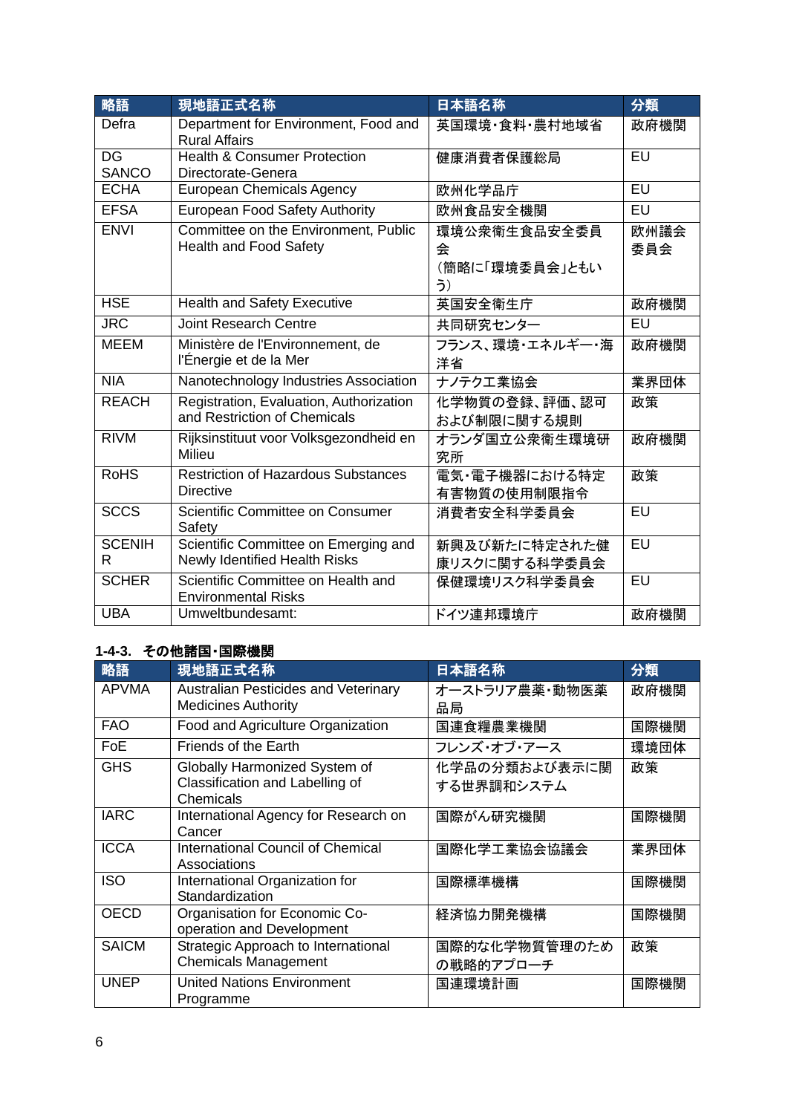| 略語                                       | 現地語正式名称                                                                 | 日本語名称                                     | 分類          |
|------------------------------------------|-------------------------------------------------------------------------|-------------------------------------------|-------------|
| Defra                                    | Department for Environment, Food and<br><b>Rural Affairs</b>            | 英国環境·食料·農村地域省                             | 政府機関        |
| $\overline{\mathsf{DG}}$<br><b>SANCO</b> | <b>Health &amp; Consumer Protection</b><br>Directorate-Genera           | 健康消費者保護総局                                 | $E$ U       |
| <b>ECHA</b>                              | <b>European Chemicals Agency</b>                                        | 欧州化学品庁                                    | EU          |
| <b>EFSA</b>                              | European Food Safety Authority                                          | 欧州食品安全機関                                  | EU          |
| <b>ENVI</b>                              | Committee on the Environment, Public<br><b>Health and Food Safety</b>   | 環境公衆衛生食品安全委員<br>숲<br>(簡略に「環境委員会」ともい<br>う) | 欧州議会<br>委員会 |
| <b>HSE</b>                               | <b>Health and Safety Executive</b>                                      | 英国安全衛生庁                                   | 政府機関        |
| <b>JRC</b>                               | <b>Joint Research Centre</b>                                            | 共同研究センター                                  | EU          |
| <b>MEEM</b>                              | Ministère de l'Environnement, de<br>l'Énergie et de la Mer              | フランス、環境・エネルギー・海<br>洋省                     | 政府機関        |
| NIA                                      | Nanotechnology Industries Association                                   | ナノテクエ業協会                                  | 業界団体        |
| <b>REACH</b>                             | Registration, Evaluation, Authorization<br>and Restriction of Chemicals | 化学物質の登録、評価、認可<br>および制限に関する規則              | 政策          |
| <b>RIVM</b>                              | Rijksinstituut voor Volksgezondheid en<br>Milieu                        | オランダ国立公衆衛生環境研<br>究所                       | 政府機関        |
| <b>RoHS</b>                              | <b>Restriction of Hazardous Substances</b><br><b>Directive</b>          | 電気・電子機器における特定<br>有害物質の使用制限指令              | 政策          |
| <b>SCCS</b>                              | Scientific Committee on Consumer<br>Safety                              | 消費者安全科学委員会                                | $E$ U       |
| <b>SCENIH</b><br>R                       | Scientific Committee on Emerging and<br>Newly Identified Health Risks   | 新興及び新たに特定された健<br>康リスクに関する科学委員会            | $E$ U       |
| <b>SCHER</b>                             | Scientific Committee on Health and<br><b>Environmental Risks</b>        | 保健環境リスク科学委員会                              | EU          |
| <b>UBA</b>                               | Umweltbundesamt:                                                        | ドイツ連邦環境庁                                  | 政府機関        |

# **1-4-3.** その他諸国・国際機関

|              | ◟ <b>◦</b> ៸៲▭៲៶៲▭ ᇀ៲៳៳៳៲៱               |                |      |
|--------------|------------------------------------------|----------------|------|
| 略語           | 現地語正式名称                                  | 日本語名称          | 分類   |
| <b>APVMA</b> | Australian Pesticides and Veterinary     | オーストラリア農薬・動物医薬 | 政府機関 |
|              | <b>Medicines Authority</b>               | 品局             |      |
| <b>FAO</b>   | Food and Agriculture Organization        | 国連食糧農業機関       | 国際機関 |
| <b>FoE</b>   | Friends of the Earth                     | フレンズ・オブ・アース    | 環境団体 |
| <b>GHS</b>   | Globally Harmonized System of            | 化学品の分類および表示に関  | 政策   |
|              | Classification and Labelling of          | する世界調和システム     |      |
|              | Chemicals                                |                |      |
| <b>IARC</b>  | International Agency for Research on     | 国際がん研究機関       | 国際機関 |
|              | Cancer                                   |                |      |
| <b>ICCA</b>  | <b>International Council of Chemical</b> | 国際化学工業協会協議会    | 業界団体 |
|              | Associations                             |                |      |
| <b>ISO</b>   | International Organization for           | 国際標準機構         | 国際機関 |
|              | Standardization                          |                |      |
| <b>OECD</b>  | Organisation for Economic Co-            | 経済協力開発機構       | 国際機関 |
|              | operation and Development                |                |      |
| <b>SAICM</b> | Strategic Approach to International      | 国際的な化学物質管理のため  | 政策   |
|              | <b>Chemicals Management</b>              | の戦略的アプローチ      |      |
| <b>UNEP</b>  | <b>United Nations Environment</b>        | 国連環境計画         | 国際機関 |
|              | Programme                                |                |      |